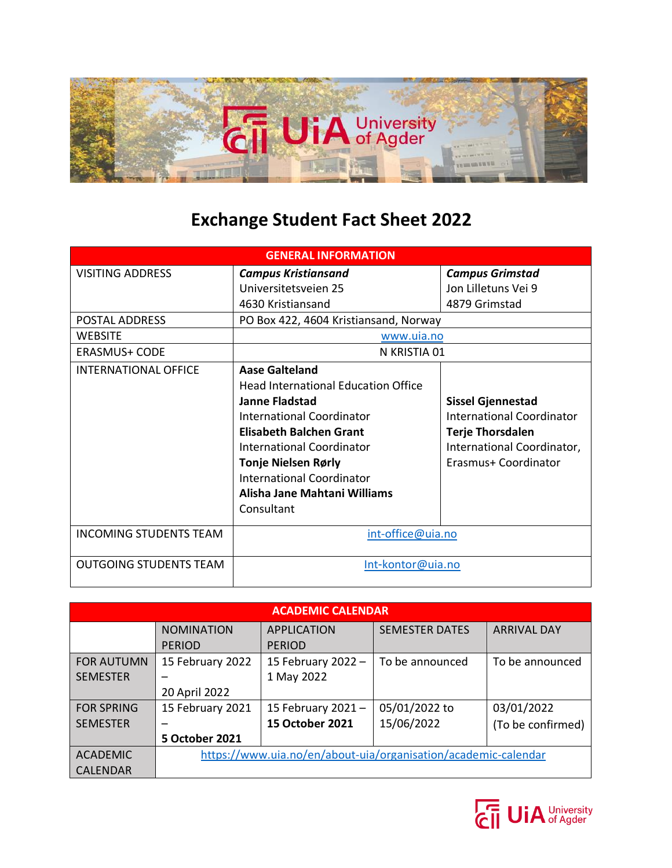

## **Exchange Student Fact Sheet 2022**

| <b>GENERAL INFORMATION</b>    |                                            |                            |  |  |
|-------------------------------|--------------------------------------------|----------------------------|--|--|
| <b>VISITING ADDRESS</b>       | <b>Campus Kristiansand</b>                 | <b>Campus Grimstad</b>     |  |  |
|                               | Universitetsveien 25                       | Jon Lilletuns Vei 9        |  |  |
|                               | 4630 Kristiansand                          | 4879 Grimstad              |  |  |
| POSTAL ADDRESS                | PO Box 422, 4604 Kristiansand, Norway      |                            |  |  |
| <b>WEBSITE</b>                | www.uia.no                                 |                            |  |  |
| <b>ERASMUS+ CODE</b>          | N KRISTIA 01                               |                            |  |  |
| <b>INTERNATIONAL OFFICE</b>   | Aase Galteland                             |                            |  |  |
|                               | <b>Head International Education Office</b> |                            |  |  |
|                               | <b>Janne Fladstad</b>                      | <b>Sissel Gjennestad</b>   |  |  |
|                               | <b>International Coordinator</b>           | International Coordinator  |  |  |
|                               | <b>Elisabeth Balchen Grant</b>             | <b>Terje Thorsdalen</b>    |  |  |
|                               | International Coordinator                  | International Coordinator, |  |  |
|                               | <b>Tonje Nielsen Rørly</b>                 | Erasmus+ Coordinator       |  |  |
|                               | <b>International Coordinator</b>           |                            |  |  |
|                               | Alisha Jane Mahtani Williams               |                            |  |  |
|                               | Consultant                                 |                            |  |  |
| <b>INCOMING STUDENTS TEAM</b> | int-office@uia.no                          |                            |  |  |
| <b>OUTGOING STUDENTS TEAM</b> | Int-kontor@uia.no                          |                            |  |  |

| <b>ACADEMIC CALENDAR</b> |                       |                        |                                                                |                    |  |
|--------------------------|-----------------------|------------------------|----------------------------------------------------------------|--------------------|--|
|                          | <b>NOMINATION</b>     | <b>APPLICATION</b>     | <b>SEMESTER DATES</b>                                          | <b>ARRIVAL DAY</b> |  |
|                          | <b>PERIOD</b>         | <b>PERIOD</b>          |                                                                |                    |  |
| <b>FOR AUTUMN</b>        | 15 February 2022      | 15 February 2022 -     | To be announced                                                | To be announced    |  |
| <b>SEMESTER</b>          |                       | 1 May 2022             |                                                                |                    |  |
|                          | 20 April 2022         |                        |                                                                |                    |  |
| <b>FOR SPRING</b>        | 15 February 2021      | 15 February 2021-      | 05/01/2022 to                                                  | 03/01/2022         |  |
| <b>SEMESTER</b>          |                       | <b>15 October 2021</b> | 15/06/2022                                                     | (To be confirmed)  |  |
|                          | <b>5 October 2021</b> |                        |                                                                |                    |  |
| <b>ACADEMIC</b>          |                       |                        | https://www.uia.no/en/about-uia/organisation/academic-calendar |                    |  |
| <b>CALENDAR</b>          |                       |                        |                                                                |                    |  |

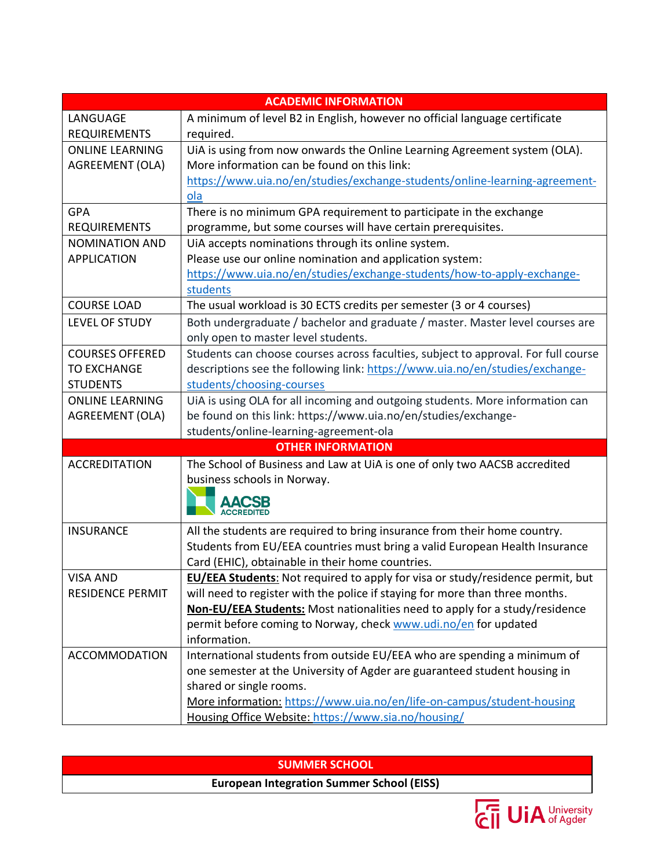| <b>ACADEMIC INFORMATION</b> |                                                                                       |  |  |  |
|-----------------------------|---------------------------------------------------------------------------------------|--|--|--|
| LANGUAGE                    | A minimum of level B2 in English, however no official language certificate            |  |  |  |
| <b>REQUIREMENTS</b>         | required.                                                                             |  |  |  |
| <b>ONLINE LEARNING</b>      | UiA is using from now onwards the Online Learning Agreement system (OLA).             |  |  |  |
| AGREEMENT (OLA)             | More information can be found on this link:                                           |  |  |  |
|                             | https://www.uia.no/en/studies/exchange-students/online-learning-agreement-            |  |  |  |
|                             | ola                                                                                   |  |  |  |
| <b>GPA</b>                  | There is no minimum GPA requirement to participate in the exchange                    |  |  |  |
| <b>REQUIREMENTS</b>         | programme, but some courses will have certain prerequisites.                          |  |  |  |
| <b>NOMINATION AND</b>       | UIA accepts nominations through its online system.                                    |  |  |  |
| <b>APPLICATION</b>          | Please use our online nomination and application system:                              |  |  |  |
|                             | https://www.uia.no/en/studies/exchange-students/how-to-apply-exchange-                |  |  |  |
|                             | students                                                                              |  |  |  |
| <b>COURSE LOAD</b>          | The usual workload is 30 ECTS credits per semester (3 or 4 courses)                   |  |  |  |
| LEVEL OF STUDY              | Both undergraduate / bachelor and graduate / master. Master level courses are         |  |  |  |
|                             | only open to master level students.                                                   |  |  |  |
| <b>COURSES OFFERED</b>      | Students can choose courses across faculties, subject to approval. For full course    |  |  |  |
| <b>TO EXCHANGE</b>          | descriptions see the following link: https://www.uia.no/en/studies/exchange-          |  |  |  |
| <b>STUDENTS</b>             | students/choosing-courses                                                             |  |  |  |
| <b>ONLINE LEARNING</b>      | UiA is using OLA for all incoming and outgoing students. More information can         |  |  |  |
| AGREEMENT (OLA)             | be found on this link: https://www.uia.no/en/studies/exchange-                        |  |  |  |
|                             | students/online-learning-agreement-ola                                                |  |  |  |
| <b>OTHER INFORMATION</b>    |                                                                                       |  |  |  |
| <b>ACCREDITATION</b>        | The School of Business and Law at UiA is one of only two AACSB accredited             |  |  |  |
|                             | business schools in Norway.                                                           |  |  |  |
|                             |                                                                                       |  |  |  |
|                             | <b>ACCREDITED</b>                                                                     |  |  |  |
| <b>INSURANCE</b>            | All the students are required to bring insurance from their home country.             |  |  |  |
|                             | Students from EU/EEA countries must bring a valid European Health Insurance           |  |  |  |
|                             | Card (EHIC), obtainable in their home countries.                                      |  |  |  |
| <b>VISA AND</b>             | <b>EU/EEA Students:</b> Not required to apply for visa or study/residence permit, but |  |  |  |
| <b>RESIDENCE PERMIT</b>     | will need to register with the police if staying for more than three months.          |  |  |  |
|                             | Non-EU/EEA Students: Most nationalities need to apply for a study/residence           |  |  |  |
|                             | permit before coming to Norway, check www.udi.no/en for updated                       |  |  |  |
|                             | information.                                                                          |  |  |  |
| <b>ACCOMMODATION</b>        | International students from outside EU/EEA who are spending a minimum of              |  |  |  |
|                             | one semester at the University of Agder are guaranteed student housing in             |  |  |  |
|                             | shared or single rooms.                                                               |  |  |  |
|                             | More information: https://www.uia.no/en/life-on-campus/student-housing                |  |  |  |
|                             | Housing Office Website: https://www.sia.no/housing/                                   |  |  |  |

## **SUMMER SCHOOL**

**European Integration Summer School (EISS)**